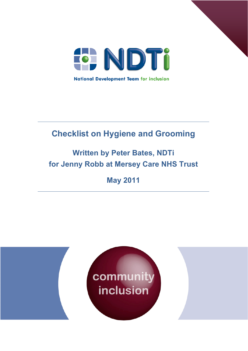

# **Checklist on Hygiene and Grooming**

# **Written by Peter Bates, NDTi for Jenny Robb at Mersey Care NHS Trust**

# **May 2011**

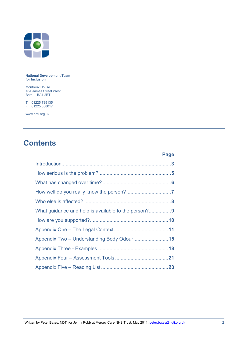

**National Development Team for Inclusion** 

Montreux House 18A James Street West Bath BA1 2BT

T: 01225 789135 F: 01225 338017

www.ndti.org.uk

## **Contents**

|                                            | Page |
|--------------------------------------------|------|
|                                            |      |
|                                            |      |
|                                            |      |
|                                            |      |
|                                            |      |
|                                            |      |
|                                            |      |
|                                            |      |
| Appendix Two - Understanding Body Odour 15 |      |
|                                            |      |
|                                            |      |
|                                            |      |
|                                            |      |

Written by Peter Bates, NDTi for Jenny Robb at Mersey Care NHS Trust. May 2011. peter.bates@ndti.org.uk 22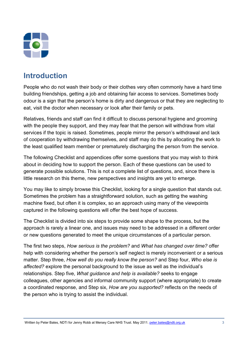

### **Introduction**

People who do not wash their body or their clothes very often commonly have a hard time building friendships, getting a job and obtaining fair access to services. Sometimes body odour is a sign that the person's home is dirty and dangerous or that they are neglecting to eat, visit the doctor when necessary or look after their family or pets.

Relatives, friends and staff can find it difficult to discuss personal hygiene and grooming with the people they support, and they may fear that the person will withdraw from vital services if the topic is raised. Sometimes, people mirror the person's withdrawal and lack of cooperation by withdrawing themselves, and staff may do this by allocating the work to the least qualified team member or prematurely discharging the person from the service.

The following Checklist and appendices offer some questions that you may wish to think about in deciding how to support the person. Each of these questions can be used to generate possible solutions. This is not a complete list of questions, and, since there is little research on this theme, new perspectives and insights are yet to emerge.

You may like to simply browse this Checklist, looking for a single question that stands out. Sometimes the problem has a straightforward solution, such as getting the washing machine fixed, but often it is complex, so an approach using many of the viewpoints captured in the following questions will offer the best hope of success.

The Checklist is divided into six steps to provide some shape to the process, but the approach is rarely a linear one, and issues may need to be addressed in a different order or new questions generated to meet the unique circumstances of a particular person.

The first two steps, *How serious is the problem?* and *What has changed over time?* offer help with considering whether the person's self neglect is merely inconvenient or a serious matter. Step three, *How well do you really know the person?* and Step four, *Who else is affected?* explore the personal background to the issue as well as the individual's relationships. Step five, *What guidance and help is available?* seeks to engage colleagues, other agencies and informal community support (where appropriate) to create a coordinated response, and Step six, *How are you supported?* reflects on the needs of the person who is trying to assist the individual.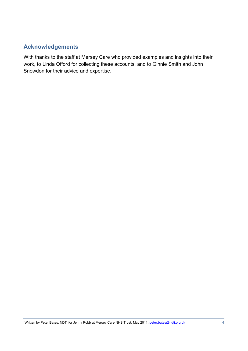#### **Acknowledgements**

With thanks to the staff at Mersey Care who provided examples and insights into their work, to Linda Offord for collecting these accounts, and to Ginnie Smith and John Snowdon for their advice and expertise.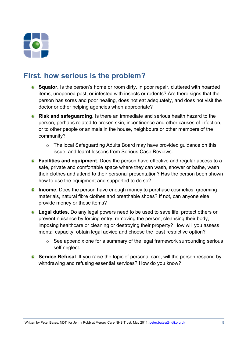

### **First, how serious is the problem?**

- **Squalor.** Is the person's home or room dirty, in poor repair, cluttered with hoarded items, unopened post, or infested with insects or rodents? Are there signs that the person has sores and poor healing, does not eat adequately, and does not visit the doctor or other helping agencies when appropriate?
- **Risk and safeguarding.** Is there an immediate and serious health hazard to the person, perhaps related to broken skin, incontinence and other causes of infection, or to other people or animals in the house, neighbours or other members of the community?
	- o The local Safeguarding Adults Board may have provided guidance on this issue, and learnt lessons from Serious Case Reviews.
- **Facilities and equipment.** Does the person have effective and regular access to a safe, private and comfortable space where they can wash, shower or bathe, wash their clothes and attend to their personal presentation? Has the person been shown how to use the equipment and supported to do so?
- **Income.** Does the person have enough money to purchase cosmetics, grooming materials, natural fibre clothes and breathable shoes? If not, can anyone else provide money or these items?
- **Legal duties.** Do any legal powers need to be used to save life, protect others or prevent nuisance by forcing entry, removing the person, cleansing their body, imposing healthcare or cleaning or destroying their property? How will you assess mental capacity, obtain legal advice and choose the least restrictive option?
	- o See appendix one for a summary of the legal framework surrounding serious self neglect.
- **Service Refusal.** If you raise the topic of personal care, will the person respond by withdrawing and refusing essential services? How do you know?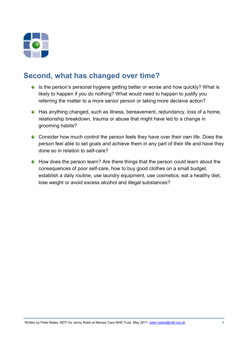

## **Second, what has changed over time?**

- Is the person's personal hygiene getting better or worse and how quickly? What is likely to happen if you do nothing? What would need to happen to justify you referring the matter to a more senior person or taking more decisive action?
- Has anything changed, such as illness, bereavement, redundancy, loss of a home, relationship breakdown, trauma or abuse that might have led to a change in grooming habits?
- Consider how much control the person feels they have over their own life. Does the person feel able to set goals and achieve them in any part of their life and have they done so in relation to self-care?
- How does the person learn? Are there things that the person could learn about the consequences of poor self-care, how to buy good clothes on a small budget, establish a daily routine, use laundry equipment, use cosmetics, eat a healthy diet, lose weight or avoid excess alcohol and illegal substances?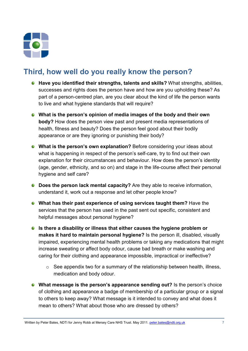

## **Third, how well do you really know the person?**

- **Have you identified their strengths, talents and skills?** What strengths, abilities, successes and rights does the person have and how are you upholding these? As part of a person-centred plan, are you clear about the kind of life the person wants to live and what hygiene standards that will require?
- **What is the person's opinion of media images of the body and their own body?** How does the person view past and present media representations of health, fitness and beauty? Does the person feel good about their bodily appearance or are they ignoring or punishing their body?
- **What is the person's own explanation?** Before considering your ideas about what is happening in respect of the person's self-care, try to find out their own explanation for their circumstances and behaviour. How does the person's identity (age, gender, ethnicity, and so on) and stage in the life-course affect their personal hygiene and self care?
- **C** Does the person lack mental capacity? Are they able to receive information, understand it, work out a response and let other people know?
- **What has their past experience of using services taught them?** Have the services that the person has used in the past sent out specific, consistent and helpful messages about personal hygiene?
- **Is there a disability or illness that either causes the hygiene problem or makes it hard to maintain personal hygiene?** Is the person ill, disabled, visually impaired, experiencing mental health problems or taking any medications that might increase sweating or affect body odour, cause bad breath or make washing and caring for their clothing and appearance impossible, impractical or ineffective?
	- $\circ$  See appendix two for a summary of the relationship between health, illness, medication and body odour.
- **What message is the person's appearance sending out?** Is the person's choice of clothing and appearance a badge of membership of a particular group or a signal to others to keep away? What message is it intended to convey and what does it mean to others? What about those who are dressed by others?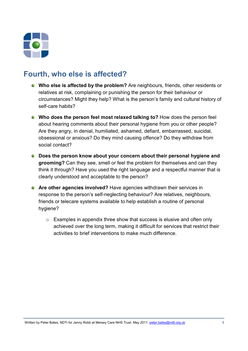

### **Fourth, who else is affected?**

- **Who else is affected by the problem?** Are neighbours, friends, other residents or relatives at risk, complaining or punishing the person for their behaviour or circumstances? Might they help? What is the person's family and cultural history of self-care habits?
- **Who does the person feel most relaxed talking to?** How does the person feel about hearing comments about their personal hygiene from you or other people? Are they angry, in denial, humiliated, ashamed, defiant, embarrassed, suicidal, obsessional or anxious? Do they mind causing offence? Do they withdraw from social contact?
- **Does the person know about your concern about their personal hygiene and grooming?** Can they see, smell or feel the problem for themselves and can they think it through? Have you used the right language and a respectful manner that is clearly understood and acceptable to the person?
- **Are other agencies involved?** Have agencies withdrawn their services in response to the person's self-neglecting behaviour? Are relatives, neighbours, friends or telecare systems available to help establish a routine of personal hygiene?
	- o Examples in appendix three show that success is elusive and often only achieved over the long term, making it difficult for services that restrict their activities to brief interventions to make much difference.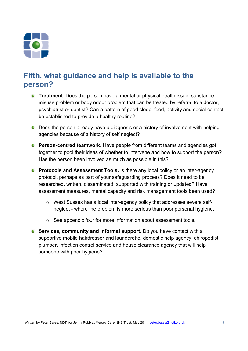

### **Fifth, what guidance and help is available to the person?**

- **C** Treatment. Does the person have a mental or physical health issue, substance misuse problem or body odour problem that can be treated by referral to a doctor, psychiatrist or dentist? Can a pattern of good sleep, food, activity and social contact be established to provide a healthy routine?
- Does the person already have a diagnosis or a history of involvement with helping agencies because of a history of self neglect?
- **Person-centred teamwork.** Have people from different teams and agencies got together to pool their ideas of whether to intervene and how to support the person? Has the person been involved as much as possible in this?
- **Protocols and Assessment Tools.** Is there any local policy or an inter-agency protocol, perhaps as part of your safeguarding process? Does it need to be researched, written, disseminated, supported with training or updated? Have assessment measures, mental capacity and risk management tools been used?
	- o West Sussex has a local inter-agency policy that addresses severe selfneglect - where the problem is more serious than poor personal hygiene.
	- o See appendix four for more information about assessment tools.
- **Services, community and informal support.** Do you have contact with a supportive mobile hairdresser and launderette, domestic help agency, chiropodist, plumber, infection control service and house clearance agency that will help someone with poor hygiene?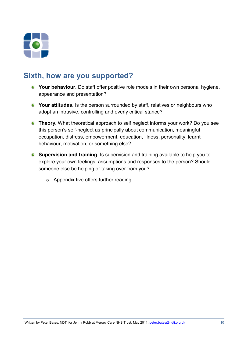

### **Sixth, how are you supported?**

- **P** Your behaviour. Do staff offer positive role models in their own personal hygiene, appearance and presentation?
- **Your attitudes.** Is the person surrounded by staff, relatives or neighbours who adopt an intrusive, controlling and overly critical stance?
- **Theory.** What theoretical approach to self neglect informs your work? Do you see this person's self-neglect as principally about communication, meaningful occupation, distress, empowerment, education, illness, personality, learnt behaviour, motivation, or something else?
- **Supervision and training.** Is supervision and training available to help you to explore your own feelings, assumptions and responses to the person? Should someone else be helping or taking over from you?
	- o Appendix five offers further reading.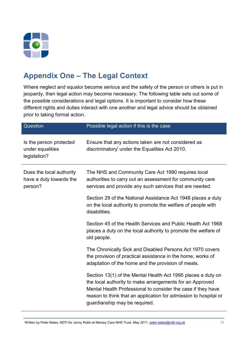

## **Appendix One – The Legal Context**

Where neglect and squalor become serious and the safety of the person or others is put in jeopardy, then legal action may become necessary. The following table sets out some of the possible considerations and legal options. It is important to consider how these different rights and duties interact with one another and legal advice should be obtained prior to taking formal action.

| Question                                                       | Possible legal action if this is the case                                                                                                                                                                                                                                                     |
|----------------------------------------------------------------|-----------------------------------------------------------------------------------------------------------------------------------------------------------------------------------------------------------------------------------------------------------------------------------------------|
| Is the person protected<br>under equalities<br>legislation?    | Ensure that any actions taken are not considered as<br>discriminatory' under the Equalities Act 2010.                                                                                                                                                                                         |
| Does the local authority<br>have a duty towards the<br>person? | The NHS and Community Care Act 1990 requires local<br>authorities to carry out an assessment for community care<br>services and provide any such services that are needed.                                                                                                                    |
|                                                                | Section 29 of the National Assistance Act 1948 places a duty<br>on the local authority to promote the welfare of people with<br>disabilities.                                                                                                                                                 |
|                                                                | Section 45 of the Health Services and Public Health Act 1968<br>places a duty on the local authority to promote the welfare of<br>old people.                                                                                                                                                 |
|                                                                | The Chronically Sick and Disabled Persons Act 1970 covers<br>the provision of practical assistance in the home, works of<br>adaptation of the home and the provision of meals.                                                                                                                |
|                                                                | Section 13(1) of the Mental Health Act 1995 places a duty on<br>the local authority to make arrangements for an Approved<br>Mental Health Professional to consider the case if they have<br>reason to think that an application for admission to hospital or<br>guardianship may be required. |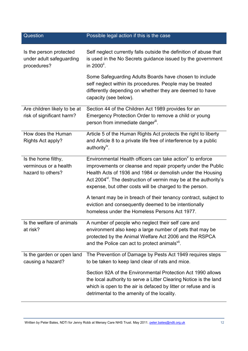| Question                                                           | Possible legal action if this is the case                                                                                                                                                                                                                                                                                                                                                                                                      |  |  |
|--------------------------------------------------------------------|------------------------------------------------------------------------------------------------------------------------------------------------------------------------------------------------------------------------------------------------------------------------------------------------------------------------------------------------------------------------------------------------------------------------------------------------|--|--|
| Is the person protected<br>under adult safeguarding<br>procedures? | Self neglect currently falls outside the definition of abuse that<br>is used in the No Secrets guidance issued by the government<br>in 2000".                                                                                                                                                                                                                                                                                                  |  |  |
|                                                                    | Some Safeguarding Adults Boards have chosen to include<br>self neglect within its procedures. People may be treated<br>differently depending on whether they are deemed to have<br>capacity (see below).                                                                                                                                                                                                                                       |  |  |
| Are children likely to be at<br>risk of significant harm?          | Section 44 of the Children Act 1989 provides for an<br>Emergency Protection Order to remove a child or young<br>person from immediate danger".                                                                                                                                                                                                                                                                                                 |  |  |
| How does the Human<br>Rights Act apply?                            | Article 5 of the Human Rights Act protects the right to liberty<br>and Article 8 to a private life free of interference by a public<br>authority <sup>iv</sup> .                                                                                                                                                                                                                                                                               |  |  |
| Is the home filthy,<br>verminous or a health<br>hazard to others?  | Environmental Health officers can take action to enforce<br>improvements or cleanse and repair property under the Public<br>Health Acts of 1936 and 1984 or demolish under the Housing<br>Act 2004". The destruction of vermin may be at the authority's<br>expense, but other costs will be charged to the person.<br>A tenant may be in breach of their tenancy contract, subject to<br>eviction and consequently deemed to be intentionally |  |  |
|                                                                    | homeless under the Homeless Persons Act 1977.                                                                                                                                                                                                                                                                                                                                                                                                  |  |  |
| Is the welfare of animals<br>at risk?                              | A number of people who neglect their self care and<br>environment also keep a large number of pets that may be<br>protected by the Animal Welfare Act 2006 and the RSPCA<br>and the Police can act to protect animals <sup>vii</sup> .                                                                                                                                                                                                         |  |  |
| Is the garden or open land<br>causing a hazard?                    | The Prevention of Damage by Pests Act 1949 requires steps<br>to be taken to keep land clear of rats and mice.                                                                                                                                                                                                                                                                                                                                  |  |  |
|                                                                    | Section 92A of the Environmental Protection Act 1990 allows<br>the local authority to serve a Litter Clearing Notice is the land<br>which is open to the air is defaced by litter or refuse and is<br>detrimental to the amenity of the locality.                                                                                                                                                                                              |  |  |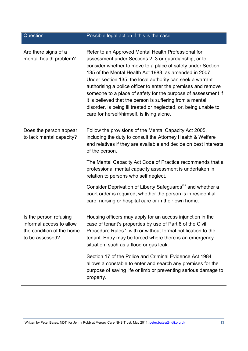| Question                                                                                           | Possible legal action if this is the case                                                                                                                                                                                                                                                                                                                                                                                                                                                                                                                                                                           |  |  |
|----------------------------------------------------------------------------------------------------|---------------------------------------------------------------------------------------------------------------------------------------------------------------------------------------------------------------------------------------------------------------------------------------------------------------------------------------------------------------------------------------------------------------------------------------------------------------------------------------------------------------------------------------------------------------------------------------------------------------------|--|--|
| Are there signs of a<br>mental health problem?                                                     | Refer to an Approved Mental Health Professional for<br>assessment under Sections 2, 3 or guardianship, or to<br>consider whether to move to a place of safety under Section<br>135 of the Mental Health Act 1983, as amended in 2007.<br>Under section 135, the local authority can seek a warrant<br>authorising a police officer to enter the premises and remove<br>someone to a place of safety for the purpose of assessment if<br>it is believed that the person is suffering from a mental<br>disorder, is being ill treated or neglected, or, being unable to<br>care for herself/himself, is living alone. |  |  |
| Does the person appear<br>to lack mental capacity?                                                 | Follow the provisions of the Mental Capacity Act 2005,<br>including the duty to consult the Attorney Health & Welfare<br>and relatives if they are available and decide on best interests<br>of the person.                                                                                                                                                                                                                                                                                                                                                                                                         |  |  |
|                                                                                                    | The Mental Capacity Act Code of Practice recommends that a<br>professional mental capacity assessment is undertaken in<br>relation to persons who self neglect.                                                                                                                                                                                                                                                                                                                                                                                                                                                     |  |  |
|                                                                                                    | Consider Deprivation of Liberty Safeguards <sup>vill</sup> and whether a<br>court order is required, whether the person is in residential<br>care, nursing or hospital care or in their own home.                                                                                                                                                                                                                                                                                                                                                                                                                   |  |  |
| Is the person refusing<br>informal access to allow<br>the condition of the home<br>to be assessed? | Housing officers may apply for an access injunction in the<br>case of tenant's properties by use of Part 8 of the Civil<br>Procedure Rules <sup>ix</sup> , with or without formal notification to the<br>tenant. Entry may be forced where there is an emergency<br>situation, such as a flood or gas leak.                                                                                                                                                                                                                                                                                                         |  |  |
|                                                                                                    | Section 17 of the Police and Criminal Evidence Act 1984<br>allows a constable to enter and search any premises for the<br>purpose of saving life or limb or preventing serious damage to<br>property.                                                                                                                                                                                                                                                                                                                                                                                                               |  |  |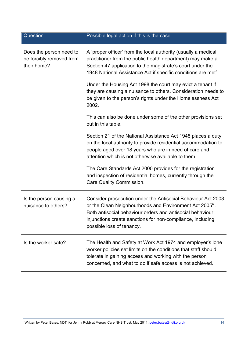| Question                                                           | Possible legal action if this is the case                                                                                                                                                                                                                                                   |  |
|--------------------------------------------------------------------|---------------------------------------------------------------------------------------------------------------------------------------------------------------------------------------------------------------------------------------------------------------------------------------------|--|
| Does the person need to<br>be forcibly removed from<br>their home? | A 'proper officer' from the local authority (usually a medical<br>practitioner from the public health department) may make a<br>Section 47 application to the magistrate's court under the<br>1948 National Assistance Act if specific conditions are met <sup>x</sup> .                    |  |
|                                                                    | Under the Housing Act 1998 the court may evict a tenant if<br>they are causing a nuisance to others. Consideration needs to<br>be given to the person's rights under the Homelessness Act<br>2002.                                                                                          |  |
|                                                                    | This can also be done under some of the other provisions set<br>out in this table.                                                                                                                                                                                                          |  |
|                                                                    | Section 21 of the National Assistance Act 1948 places a duty<br>on the local authority to provide residential accommodation to<br>people aged over 18 years who are in need of care and<br>attention which is not otherwise available to them.                                              |  |
|                                                                    | The Care Standards Act 2000 provides for the registration<br>and inspection of residential homes, currently through the<br>Care Quality Commission.                                                                                                                                         |  |
| Is the person causing a<br>nuisance to others?                     | Consider prosecution under the Antisocial Behaviour Act 2003<br>or the Clean Neighbourhoods and Environment Act 2005 <sup>x</sup> .<br>Both antisocial behaviour orders and antisocial behaviour<br>injunctions create sanctions for non-compliance, including<br>possible loss of tenancy. |  |
| Is the worker safe?                                                | The Health and Safety at Work Act 1974 and employer's lone<br>worker policies set limits on the conditions that staff should<br>tolerate in gaining access and working with the person<br>concerned, and what to do if safe access is not achieved.                                         |  |

Written by Peter Bates, NDTi for Jenny Robb at Mersey Care NHS Trust. May 2011. peter.bates@ndti.org.uk 14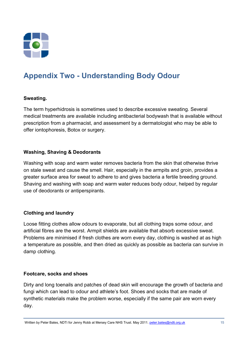

# **Appendix Two - Understanding Body Odour**

#### **Sweating.**

The term hyperhidrosis is sometimes used to describe excessive sweating. Several medical treatments are available including antibacterial bodywash that is available without prescription from a pharmacist, and assessment by a dermatologist who may be able to offer iontophoresis, Botox or surgery.

#### **Washing, Shaving & Deodorants**

Washing with soap and warm water removes bacteria from the skin that otherwise thrive on stale sweat and cause the smell. Hair, especially in the armpits and groin, provides a greater surface area for sweat to adhere to and gives bacteria a fertile breeding ground. Shaving and washing with soap and warm water reduces body odour, helped by regular use of deodorants or antiperspirants.

#### **Clothing and laundry**

Loose fitting clothes allow odours to evaporate, but all clothing traps some odour, and artificial fibres are the worst. Armpit shields are available that absorb excessive sweat. Problems are minimised if fresh clothes are worn every day, clothing is washed at as high a temperature as possible, and then dried as quickly as possible as bacteria can survive in damp clothing.

#### **Footcare, socks and shoes**

Dirty and long toenails and patches of dead skin will encourage the growth of bacteria and fungi which can lead to odour and athlete's foot. Shoes and socks that are made of synthetic materials make the problem worse, especially if the same pair are worn every day.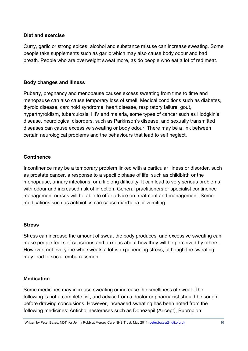#### **Diet and exercise**

Curry, garlic or strong spices, alcohol and substance misuse can increase sweating. Some people take supplements such as garlic which may also cause body odour and bad breath. People who are overweight sweat more, as do people who eat a lot of red meat.

#### **Body changes and illness**

Puberty, pregnancy and menopause causes excess sweating from time to time and menopause can also cause temporary loss of smell. Medical conditions such as diabetes, thyroid disease, carcinoid syndrome, heart disease, respiratory failure, gout, hyperthyroidism, tuberculosis, HIV and malaria, some types of cancer such as Hodgkin's disease, neurological disorders, such as Parkinson's disease, and sexually transmitted diseases can cause excessive sweating or body odour. There may be a link between certain neurological problems and the behaviours that lead to self neglect.

#### **Continence**

Incontinence may be a temporary problem linked with a particular illness or disorder, such as prostate cancer, a response to a specific phase of life, such as childbirth or the menopause, urinary infections, or a lifelong difficulty. It can lead to very serious problems with odour and increased risk of infection. General practitioners or specialist continence management nurses will be able to offer advice on treatment and management. Some medications such as antibiotics can cause diarrhoea or vomiting.

#### **Stress**

Stress can increase the amount of sweat the body produces, and excessive sweating can make people feel self conscious and anxious about how they will be perceived by others. However, not everyone who sweats a lot is experiencing stress, although the sweating may lead to social embarrassment.

#### **Medication**

Some medicines may increase sweating or increase the smelliness of sweat. The following is not a complete list, and advice from a doctor or pharmacist should be sought before drawing conclusions. However, increased sweating has been noted from the following medicines: Anticholinesterases such as Donezepil (Aricept), Bupropion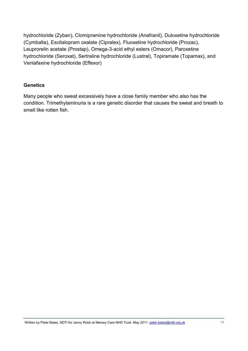hydrochloride (Zyban), Clomipramine hydrochloride (Anafranil), Duloxetine hydrochloride (Cymbalta), Escitalopram oxalate (Cipralex), Fluoxetine hydrochloride (Prozac), Leuprorelin acetate (Prostap), Omega-3-acid ethyl esters (Omacor), Paroxetine hydrochloride (Seroxat), Sertraline hydrochloride (Lustral), Topiramate (Topamax), and Venlafaxine hydrochloride (Effexor)

#### **Genetics**

Many people who sweat excessively have a close family member who also has the condition. Trimethylaminuria is a rare genetic disorder that causes the sweat and breath to smell like rotten fish.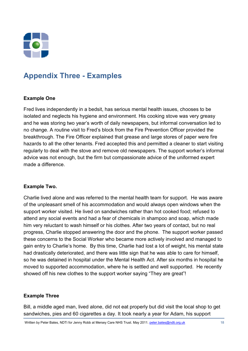

## **Appendix Three - Examples**

#### **Example One**

Fred lives independently in a bedsit, has serious mental health issues, chooses to be isolated and neglects his hygiene and environment. His cooking stove was very greasy and he was storing two year's worth of daily newspapers, but informal conversation led to no change. A routine visit to Fred's block from the Fire Prevention Officer provided the breakthrough. The Fire Officer explained that grease and large stores of paper were fire hazards to all the other tenants. Fred accepted this and permitted a cleaner to start visiting regularly to deal with the stove and remove old newspapers. The support worker's informal advice was not enough, but the firm but compassionate advice of the uniformed expert made a difference.

#### **Example Two.**

Charlie lived alone and was referred to the mental health team for support. He was aware of the unpleasant smell of his accommodation and would always open windows when the support worker visited. He lived on sandwiches rather than hot cooked food; refused to attend any social events and had a fear of chemicals in shampoo and soap, which made him very reluctant to wash himself or his clothes. After two years of contact, but no real progress, Charlie stopped answering the door and the phone. The support worker passed these concerns to the Social Worker who became more actively involved and managed to gain entry to Charlie's home. By this time, Charlie had lost a lot of weight, his mental state had drastically deteriorated, and there was little sign that he was able to care for himself, so he was detained in hospital under the Mental Health Act. After six months in hospital he moved to supported accommodation, where he is settled and well supported. He recently showed off his new clothes to the support worker saying "They are great"!

#### **Example Three**

Bill, a middle aged man, lived alone, did not eat properly but did visit the local shop to get sandwiches, pies and 60 cigarettes a day. It took nearly a year for Adam, his support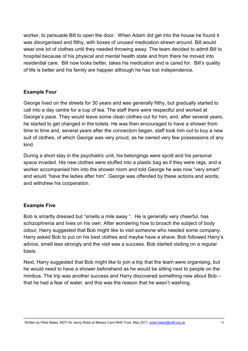worker, to persuade Bill to open the door. When Adam did get into the house he found it was disorganised and filthy, with boxes of unused medication strewn around. Bill would wear one lot of clothes until they needed throwing away. The team decided to admit Bill to hospital because of his physical and mental health state and from there he moved into residential care. Bill now looks better, takes his medication and is cared for. Bill's quality of life is better and his family are happier although he has lost independence.

#### **Example Four**

George lived on the streets for 30 years and was generally filthy, but gradually started to call into a day centre for a cup of tea. The staff there were respectful and worked at George's pace. They would leave some clean clothes out for him, and, after several years, he started to get changed in the toilets. He was then encouraged to have a shower from time to time and, several years after the connection began, staff took him out to buy a new suit of clothes, of which George was very proud, as he owned very few possessions of any kind.

During a short stay in the psychiatric unit, his belongings were spoilt and his personal space invaded. His new clothes were stuffed into a plastic bag as if they were rags, and a worker accompanied him into the shower room and told George he was now "very smart" and would "have the ladies after him". George was offended by these actions and words, and withdrew his cooperat*i*on.

#### **Example Five**

Bob is smartly dressed but "smells a mile away ". He is generally very cheerful, has schizophrenia and lives on his own. After wondering how to broach the subject of body odour, Harry suggested that Bob might like to visit someone who needed some company. Harry asked Bob to put on his best clothes and maybe have a shave. Bob followed Harry's advice, smelt less strongly and the visit was a success. Bob started visiting on a regular basis.

Next, Harry suggested that Bob might like to join a trip that the team were organising, but he would need to have a shower beforehand as he would be sitting next to people on the minibus. The trip was another success and Harry discovered something new about Bob – that he had a fear of water, and this was the reason that he wasn't washing.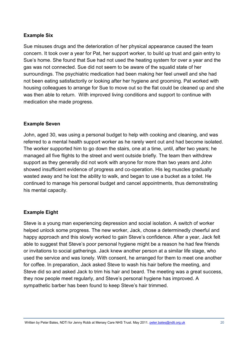#### **Example Six**

Sue misuses drugs and the deterioration of her physical appearance caused the team concern. It took over a year for Pat, her support worker, to build up trust and gain entry to Sue's home. She found that Sue had not used the heating system for over a year and the gas was not connected. Sue did not seem to be aware of the squalid state of her surroundings. The psychiatric medication had been making her feel unwell and she had not been eating satisfactorily or looking after her hygiene and grooming. Pat worked with housing colleagues to arrange for Sue to move out so the flat could be cleaned up and she was then able to return. With improved living conditions and support to continue with medication she made progress.

#### **Example Seven**

John, aged 30, was using a personal budget to help with cooking and cleaning, and was referred to a mental health support worker as he rarely went out and had become isolated. The worker supported him to go down the stairs, one at a time, until, after two years; he managed all five flights to the street and went outside briefly. The team then withdrew support as they generally did not work with anyone for more than two years and John showed insufficient evidence of progress and co-operation. His leg muscles gradually wasted away and he lost the ability to walk, and began to use a bucket as a toilet. He continued to manage his personal budget and cancel appointments, thus demonstrating his mental capacity.

#### **Example Eight**

Steve is a young man experiencing depression and social isolation. A switch of worker helped unlock some progress. The new worker, Jack, chose a determinedly cheerful and happy approach and this slowly worked to gain Steve's confidence. After a year, Jack felt able to suggest that Steve's poor personal hygiene might be a reason he had few friends or invitations to social gatherings. Jack knew another person at a similar life stage, who used the service and was lonely. With consent, he arranged for them to meet one another for coffee. In preparation, Jack asked Steve to wash his hair before the meeting, and Steve did so and asked Jack to trim his hair and beard. The meeting was a great success, they now people meet regularly, and Steve's personal hygiene has improved. A sympathetic barber has been found to keep Steve's hair trimmed.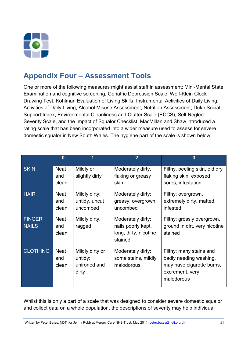

## **Appendix Four – Assessment Tools**

One or more of the following measures might assist staff in assessment: Mini-Mental State Examination and cognitive screening, Geriatric Depression Scale, Wolf-Klein Clock Drawing Test, Kohlman Evaluation of Living Skills, Instrumental Activities of Daily Living, Activities of Daily Living, Alcohol Misuse Assessment, Nutrition Assessment, Duke Social Support Index, Environmental Cleanliness and Clutter Scale (ECCS), Self Neglect Severity Scale, and the Impact of Squalor Checklist. MacMillan and Shaw introduced a rating scale that has been incorporated into a wider measure used to assess for severe domestic squalor in New South Wales. The hygiene part of the scale is shown below:

|                               | $\bf{0}$                    |                                                     | $\overline{2}$                                                              | $\overline{3}$                                                                                                  |
|-------------------------------|-----------------------------|-----------------------------------------------------|-----------------------------------------------------------------------------|-----------------------------------------------------------------------------------------------------------------|
| <b>SKIN</b>                   | <b>Neat</b><br>and<br>clean | Mildly or<br>slightly dirty                         | Moderately dirty,<br>flaking or greasy<br>skin                              | Filthy, peeling skin, old dry<br>flaking skin, exposed<br>sores, infestation                                    |
| <b>HAIR</b>                   | <b>Neat</b><br>and<br>clean | Mildly dirty:<br>untidy, uncut<br>uncombed          | Moderately dirty:<br>greasy, overgrown,<br>uncombed                         | Filthy: overgrown,<br>extremely dirty, matted,<br>infested                                                      |
| <b>FINGER</b><br><b>NAILS</b> | <b>Neat</b><br>and<br>clean | Mildly dirty,<br>ragged                             | Moderately dirty:<br>nails poorly kept,<br>long, dirty, nicotine<br>stained | Filthy: grossly overgrown,<br>ground in dirt, very nicotine<br>stained                                          |
| <b>CLOTHING</b>               | <b>Neat</b><br>and<br>clean | Mildly dirty or<br>untidy:<br>unironed and<br>dirty | Moderately dirty:<br>some stains, mildly<br>malodorous                      | Filthy: many stains and<br>badly needing washing,<br>may have cigarette burns,<br>excrement, very<br>malodorous |

Whilst this is only a part of a scale that was designed to consider severe domestic squalor and collect data on a whole population, the descriptions of severity may help individual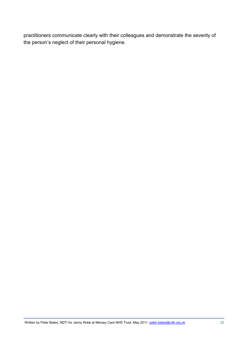practitioners communicate clearly with their colleagues and demonstrate the severity of the person's neglect of their personal hygiene.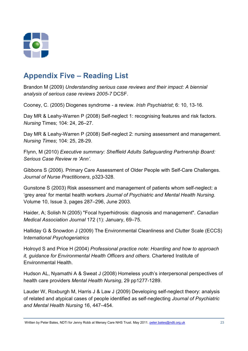

# **Appendix Five – Reading List**

Brandon M (2009) *Understanding serious case reviews and their impact: A biennial analysis of serious case reviews 2005-7* DCSF.

Cooney, C. (2005) Diogenes syndrome - a review. *Irish Psychiatrist*; 6: 10, 13-16.

Day MR & Leahy-Warren P (2008) Self-neglect 1: recognising features and risk factors. *Nursing* Times; 104: 24, 26–27.

Day MR & Leahy-Warren P (2008) Self-neglect 2: nursing assessment and management. *Nursing Times*; 104: 25, 28-29.

Flynn, M (2010) *Executive summary: Sheffield Adults Safeguarding Partnership Board: Serious Case Review re 'Ann'.*

Gibbons S (2006). Primary Care Assessment of Older People with Self-Care Challenges. *Journal of Nurse Practitioners*, p323-328.

Gunstone S (2003) Risk assessment and management of patients whom self-neglect: a 'grey area' for mental health workers *Journal of Psychiatric and Mental Health Nursing*. Volume 10, Issue 3, pages 287–296, June 2003.

Haider, A; Solish N (2005) "Focal hyperhidrosis: diagnosis and management". *Canadian Medical Association Journal* 172 (1): January, 69–75.

Halliday G & Snowdon J (2009) The Environmental Cleanliness and Clutter Scale (ECCS) In*ternational Psychogeriatrics* 

Holroyd S and Price H (2004) *Professional practice note: Hoarding and how to approach it, guidance for Environmental Health Officers and others*. Chartered Institute of Environmental Health.

Hudson AL, Nyamathi A & Sweat J (2008) Homeless youth's interpersonal perspectives of health care providers *Mental Health Nursing*, 29 pp1277-1289.

Lauder W, Roxburgh M, Harris J & Law J (2009) Developing self-neglect theory: analysis of related and atypical cases of people identified as self-neglecting *Journal of Psychiatric and Mental Health Nursing* 16, 447–454.

Written by Peter Bates, NDTi for Jenny Robb at Mersey Care NHS Trust. May 2011. peter.bates@ndti.org.uk 23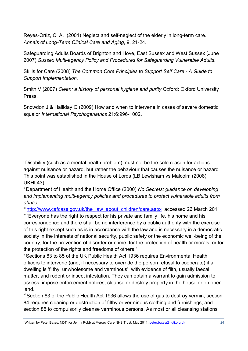Reyes-Ortiz, C. A. (2001) Neglect and self-neglect of the elderly in long-term care. *Annals of Long-Term Clinical Care and Aging*, 9, 21-24.

Safeguarding Adults Boards of Brighton and Hove, East Sussex and West Sussex (June 2007) *Sussex Multi-agency Policy and Procedures for Safeguarding Vulnerable Adults*.

Skills for Care (2008) *The Common Core Principles to Support Self Care - A Guide to Support Implementation.*

Smith V (2007) *Clean: a history of personal hygiene and purity* Oxford: Oxford University Press.

Snowdon J & Halliday G (2009) How and when to intervene in cases of severe domestic squalor *International Psychogeriatrics* 21:6:996-1002.

iii http://www.cafcass.gov.uk/the\_law\_about\_children/care.aspx accessed 26 March 2011.

<sup>iv</sup> "Everyone has the right to respect for his private and family life, his home and his correspondence and there shall be no interference by a public authority with the exercise of this right except such as is in accordance with the law and is necessary in a democratic society in the interests of national security, public safety or the economic well-being of the country, for the prevention of disorder or crime, for the protection of health or morals, or for the protection of the rights and freedoms of others."

<sup>v</sup> Sections 83 to 85 of the UK Public Health Act 1936 requires Environmental Health officers to intervene (and, if necessary to override the person refusal to cooperate) if a dwelling is 'filthy, unwholesome and verminous', with evidence of filth, usually faecal matter, and rodent or insect infestation. They can obtain a warrant to gain admission to assess, impose enforcement notices, cleanse or destroy property in the house or on open land.

vi Section 83 of the Public Health Act 1936 allows the use of gas to destroy vermin, section 84 requires cleaning or destruction of filthy or verminous clothing and furnishings, and section 85 to compulsorily cleanse verminous persons. As most or all cleansing stations

j <sup>i</sup> Disability (such as a mental health problem) must not be the sole reason for actions against nuisance or hazard, but rather the behaviour that causes the nuisance or hazard This point was established in the House of Lords (LB Lewisham vs Malcolm (2008) UKHL43).

ii Department of Health and the Home Office (2000) *No Secrets: guidance on developing and implementing multi-agency policies and procedures to protect vulnerable adults from abuse.*